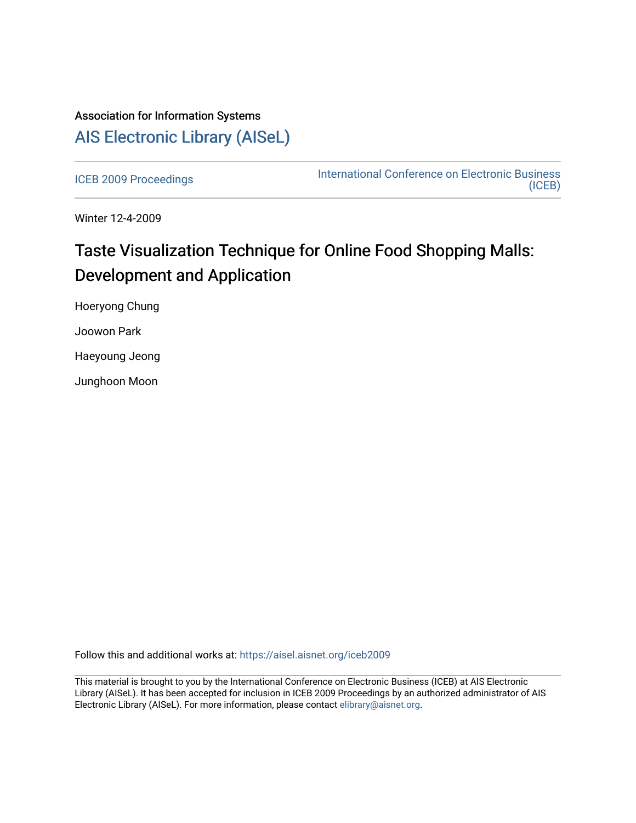## Association for Information Systems [AIS Electronic Library \(AISeL\)](https://aisel.aisnet.org/)

[ICEB 2009 Proceedings](https://aisel.aisnet.org/iceb2009) **International Conference on Electronic Business** [\(ICEB\)](https://aisel.aisnet.org/iceb) 

Winter 12-4-2009

# Taste Visualization Technique for Online Food Shopping Malls: Development and Application

Hoeryong Chung

Joowon Park

Haeyoung Jeong

Junghoon Moon

Follow this and additional works at: [https://aisel.aisnet.org/iceb2009](https://aisel.aisnet.org/iceb2009?utm_source=aisel.aisnet.org%2Ficeb2009%2F153&utm_medium=PDF&utm_campaign=PDFCoverPages)

This material is brought to you by the International Conference on Electronic Business (ICEB) at AIS Electronic Library (AISeL). It has been accepted for inclusion in ICEB 2009 Proceedings by an authorized administrator of AIS Electronic Library (AISeL). For more information, please contact [elibrary@aisnet.org.](mailto:elibrary@aisnet.org%3E)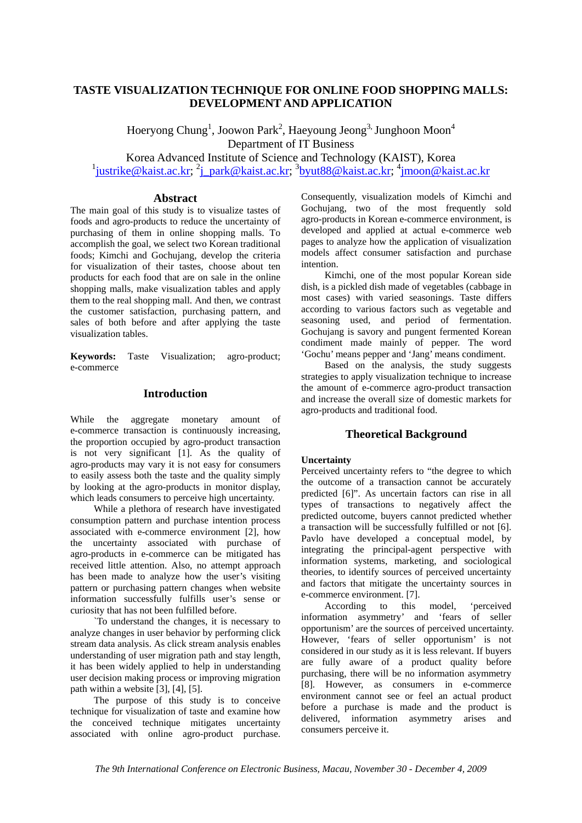## **TASTE VISUALIZATION TECHNIQUE FOR ONLINE FOOD SHOPPING MALLS: DEVELOPMENT AND APPLICATION**

Hoeryong Chung<sup>1</sup>, Joowon Park<sup>2</sup>, Haeyoung Jeong<sup>3,</sup> Junghoon Moon<sup>4</sup> Department of IT Business Korea Advanced Institute of Science and Technology (KAIST), Korea

 $1$ justrike@kaist.ac.kr;  $2$ j\_park@kaist.ac.kr;  $3$ byut88@kaist.ac.kr;  $4$ jmoon@kaist.ac.kr

## **Abstract**

The main goal of this study is to visualize tastes of foods and agro-products to reduce the uncertainty of purchasing of them in online shopping malls. To accomplish the goal, we select two Korean traditional foods; Kimchi and Gochujang, develop the criteria for visualization of their tastes, choose about ten products for each food that are on sale in the online shopping malls, make visualization tables and apply them to the real shopping mall. And then, we contrast the customer satisfaction, purchasing pattern, and sales of both before and after applying the taste visualization tables.

**Keywords:** Taste Visualization; agro-product; e-commerce

## **Introduction**

While the aggregate monetary amount of e-commerce transaction is continuously increasing, the proportion occupied by agro-product transaction is not very significant [1]. As the quality of agro-products may vary it is not easy for consumers to easily assess both the taste and the quality simply by looking at the agro-products in monitor display, which leads consumers to perceive high uncertainty.

While a plethora of research have investigated consumption pattern and purchase intention process associated with e-commerce environment [2], how the uncertainty associated with purchase of agro-products in e-commerce can be mitigated has received little attention. Also, no attempt approach has been made to analyze how the user's visiting pattern or purchasing pattern changes when website information successfully fulfills user's sense or curiosity that has not been fulfilled before.

`To understand the changes, it is necessary to analyze changes in user behavior by performing click stream data analysis. As click stream analysis enables understanding of user migration path and stay length, it has been widely applied to help in understanding user decision making process or improving migration path within a website [3], [4], [5].

The purpose of this study is to conceive technique for visualization of taste and examine how the conceived technique mitigates uncertainty associated with online agro-product purchase.

Consequently, visualization models of Kimchi and Gochujang, two of the most frequently sold agro-products in Korean e-commerce environment, is developed and applied at actual e-commerce web pages to analyze how the application of visualization models affect consumer satisfaction and purchase intention.

Kimchi, one of the most popular Korean side dish, is a pickled dish made of vegetables (cabbage in most cases) with varied seasonings. Taste differs according to various factors such as vegetable and seasoning used, and period of fermentation. Gochujang is savory and pungent fermented Korean condiment made mainly of pepper. The word 'Gochu' means pepper and 'Jang' means condiment.

Based on the analysis, the study suggests strategies to apply visualization technique to increase the amount of e-commerce agro-product transaction and increase the overall size of domestic markets for agro-products and traditional food.

## **Theoretical Background**

#### **Uncertainty**

Perceived uncertainty refers to "the degree to which the outcome of a transaction cannot be accurately predicted [6]". As uncertain factors can rise in all types of transactions to negatively affect the predicted outcome, buyers cannot predicted whether a transaction will be successfully fulfilled or not [6]. Pavlo have developed a conceptual model, by integrating the principal-agent perspective with information systems, marketing, and sociological theories, to identify sources of perceived uncertainty and factors that mitigate the uncertainty sources in e-commerce environment. [7].

According to this model, 'perceived information asymmetry' and 'fears of seller opportunism' are the sources of perceived uncertainty. However, 'fears of seller opportunism' is not considered in our study as it is less relevant. If buyers are fully aware of a product quality before purchasing, there will be no information asymmetry [8]. However, as consumers in e-commerce environment cannot see or feel an actual product before a purchase is made and the product is delivered, information asymmetry arises and consumers perceive it.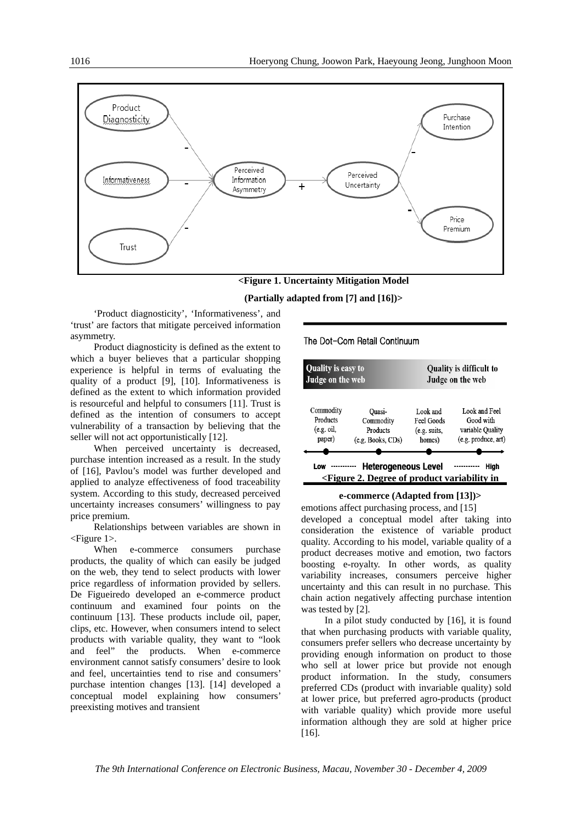

**<Figure 1. Uncertainty Mitigation Model** 

#### **(Partially adapted from [7] and [16])>**

'Product diagnosticity', 'Informativeness', and 'trust' are factors that mitigate perceived information asymmetry.

Product diagnosticity is defined as the extent to which a buyer believes that a particular shopping experience is helpful in terms of evaluating the quality of a product [9], [10]. Informativeness is defined as the extent to which information provided is resourceful and helpful to consumers [11]. Trust is defined as the intention of consumers to accept vulnerability of a transaction by believing that the seller will not act opportunistically [12].

When perceived uncertainty is decreased, purchase intention increased as a result. In the study of [16], Pavlou's model was further developed and applied to analyze effectiveness of food traceability system. According to this study, decreased perceived uncertainty increases consumers' willingness to pay price premium.

Relationships between variables are shown in <Figure 1>.

When e-commerce consumers purchase products, the quality of which can easily be judged on the web, they tend to select products with lower price regardless of information provided by sellers. De Figueiredo developed an e-commerce product continuum and examined four points on the continuum [13]. These products include oil, paper, clips, etc. However, when consumers intend to select products with variable quality, they want to "look and feel" the products. When e-commerce environment cannot satisfy consumers' desire to look and feel, uncertainties tend to rise and consumers' purchase intention changes [13]. [14] developed a conceptual model explaining how consumers' preexisting motives and transient

The Dot-Com Retail Continuum

| <b>Quality is easy to</b> |                                                                                                                                    | Quality is difficult to |                     |  |
|---------------------------|------------------------------------------------------------------------------------------------------------------------------------|-------------------------|---------------------|--|
| Judge on the web          |                                                                                                                                    | Judge on the web        |                     |  |
| Commodity                 | Ouasi-                                                                                                                             | Look and                | Look and Feel       |  |
| Products                  | Commodity                                                                                                                          | Feel Goods              | Good with           |  |
| (e.g. oil,                | Products                                                                                                                           | (e.g. suits,            | variable Quality    |  |
| paper)                    | (e.g. Books, CDs)                                                                                                                  | homes)                  | (e.g. produce, art) |  |
| Low                       | <b>Heterogeneous Level</b><br><figure 2.="" degree="" in<="" of="" product="" td="" variability=""><td></td><td>High</td></figure> |                         | High                |  |

#### **e-commerce (Adapted from [13])>**

emotions affect purchasing process, and [15] developed a conceptual model after taking into consideration the existence of variable product quality. According to his model, variable quality of a product decreases motive and emotion, two factors boosting e-royalty. In other words, as quality variability increases, consumers perceive higher uncertainty and this can result in no purchase. This chain action negatively affecting purchase intention was tested by [2].

In a pilot study conducted by [16], it is found that when purchasing products with variable quality, consumers prefer sellers who decrease uncertainty by providing enough information on product to those who sell at lower price but provide not enough product information. In the study, consumers preferred CDs (product with invariable quality) sold at lower price, but preferred agro-products (product with variable quality) which provide more useful information although they are sold at higher price [16].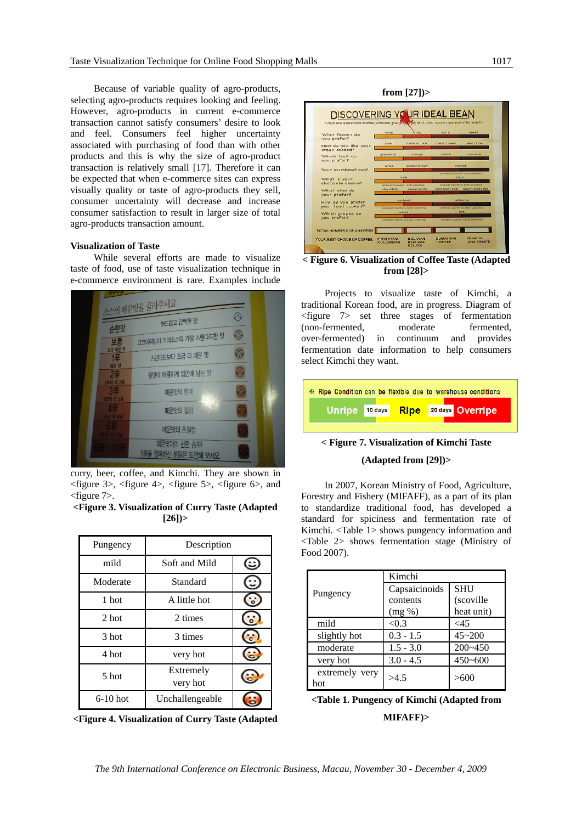Because of variable quality of agro-products, selecting agro-products requires looking and feeling. However, agro-products in current e-commerce transaction cannot satisfy consumers' desire to look and feel. Consumers feel higher uncertainty associated with purchasing of food than with other products and this is why the size of agro-product transaction is relatively small [17]. Therefore it can be expected that when e-commerce sites can express visually quality or taste of agro-products they sell, consumer uncertainty will decrease and increase consumer satisfaction to result in larger size of total agro-products transaction amount.

#### **Visualization of Taste**

While several efforts are made to visualize taste of food, use of taste visualization technique in e-commerce environment is rare. Examples include



curry, beer, coffee, and Kimchi. They are shown in <figure 3>, <figure 4>, <figure 5>, <figure 6>, and <figure 7>.

#### **<Figure 3. Visualization of Curry Taste (Adapted [26])>**

| Pungency   | Description           |  |
|------------|-----------------------|--|
| mild       | Soft and Mild         |  |
| Moderate   | Standard              |  |
| 1 hot      | A little hot          |  |
| 2 hot      | 2 times               |  |
| 3 hot      | 3 times               |  |
| 4 hot      | very hot              |  |
| 5 hot      | Extremely<br>very hot |  |
| $6-10$ hot | Unchallengeable       |  |

**<Figure 4. Visualization of Curry Taste (Adapted** 

**from [27])>** 



**< Figure 6. Visualization of Coffee Taste (Adapted from [28]>** 

Projects to visualize taste of Kimchi, a traditional Korean food, are in progress. Diagram of <figure 7> set three stages of fermentation (non-fermented, moderate fermented,<br>over-fermented) in continuum and provides continuum and provides fermentation date information to help consumers select Kimchi they want.

| ※ Ripe Condition can be flexible due to warehouse conditions |      |                  |
|--------------------------------------------------------------|------|------------------|
| Unripe 10 days                                               | Ripe | 20 days Overripe |

#### **< Figure 7. Visualization of Kimchi Taste**

#### **(Adapted from [29])>**

In 2007, Korean Ministry of Food, Agriculture, Forestry and Fishery (MIFAFF), as a part of its plan to standardize traditional food, has developed a standard for spiciness and fermentation rate of Kimchi. <Table 1> shows pungency information and <Table 2> shows fermentation stage (Ministry of Food 2007).

|                       | Kimchi        |             |  |
|-----------------------|---------------|-------------|--|
| Pungency              | Capsaicinoids | <b>SHU</b>  |  |
|                       | contents      | (scoville   |  |
|                       | $(mg \%)$     | heat unit)  |  |
| mild                  | < 0.3         | <45         |  |
| slightly hot          | $0.3 - 1.5$   | $45 - 200$  |  |
| moderate              | $1.5 - 3.0$   | $200 - 450$ |  |
| very hot              | $3.0 - 4.5$   | $450 - 600$ |  |
| extremely very<br>hot | >4.5          | >600        |  |

**<sup>&</sup>lt;Table 1. Pungency of Kimchi (Adapted from** 

**MIFAFF)>**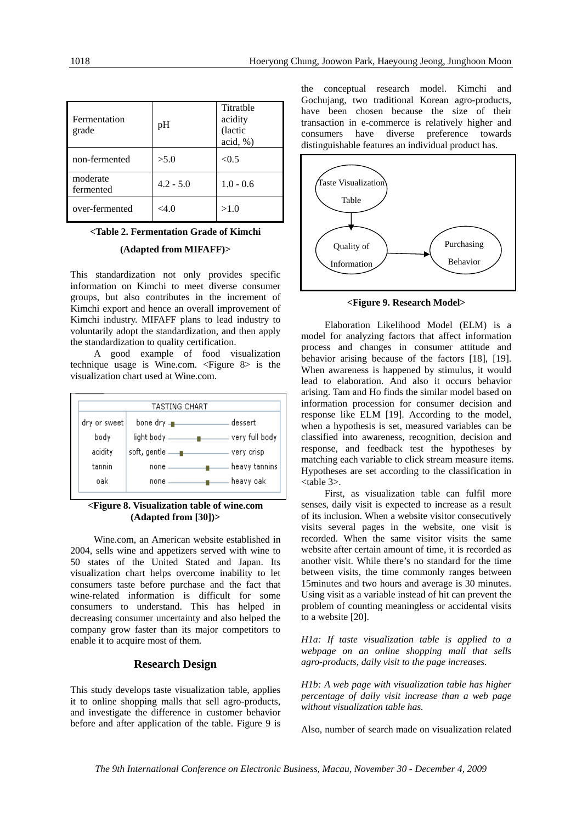| Fermentation<br>grade | pH          | Titratble<br>acidity<br>(lactic<br>acid, % |
|-----------------------|-------------|--------------------------------------------|
| non-fermented         | >5.0        | < 0.5                                      |
| moderate<br>fermented | $4.2 - 5.0$ | $1.0 - 0.6$                                |
| over-fermented        | <4.0        | >1.0                                       |

#### **<Table 2. Fermentation Grade of Kimchi**

#### **(Adapted from MIFAFF)>**

This standardization not only provides specific information on Kimchi to meet diverse consumer groups, but also contributes in the increment of Kimchi export and hence an overall improvement of Kimchi industry. MIFAFF plans to lead industry to voluntarily adopt the standardization, and then apply the standardization to quality certification.

A good example of food visualization technique usage is Wine.com. <Figure 8> is the visualization chart used at Wine.com.



#### **<Figure 8. Visualization table of wine.com (Adapted from [30])>**

Wine.com, an American website established in 2004, sells wine and appetizers served with wine to 50 states of the United Stated and Japan. Its visualization chart helps overcome inability to let consumers taste before purchase and the fact that wine-related information is difficult for some consumers to understand. This has helped in decreasing consumer uncertainty and also helped the company grow faster than its major competitors to enable it to acquire most of them.

## **Research Design**

This study develops taste visualization table, applies it to online shopping malls that sell agro-products, and investigate the difference in customer behavior before and after application of the table. Figure 9 is the conceptual research model. Kimchi and Gochujang, two traditional Korean agro-products, have been chosen because the size of their transaction in e-commerce is relatively higher and consumers have diverse preference towards distinguishable features an individual product has.



**<Figure 9. Research Model>**

Elaboration Likelihood Model (ELM) is a model for analyzing factors that affect information process and changes in consumer attitude and behavior arising because of the factors [18], [19]. When awareness is happened by stimulus, it would lead to elaboration. And also it occurs behavior arising. Tam and Ho finds the similar model based on information procession for consumer decision and response like ELM [19]. According to the model, when a hypothesis is set, measured variables can be classified into awareness, recognition, decision and response, and feedback test the hypotheses by matching each variable to click stream measure items. Hypotheses are set according to the classification in <table 3>.

First, as visualization table can fulfil more senses, daily visit is expected to increase as a result of its inclusion. When a website visitor consecutively visits several pages in the website, one visit is recorded. When the same visitor visits the same website after certain amount of time, it is recorded as another visit. While there's no standard for the time between visits, the time commonly ranges between 15minutes and two hours and average is 30 minutes. Using visit as a variable instead of hit can prevent the problem of counting meaningless or accidental visits to a website [20].

*H1a: If taste visualization table is applied to a webpage on an online shopping mall that sells agro-products, daily visit to the page increases.* 

*H1b: A web page with visualization table has higher percentage of daily visit increase than a web page without visualization table has.* 

Also, number of search made on visualization related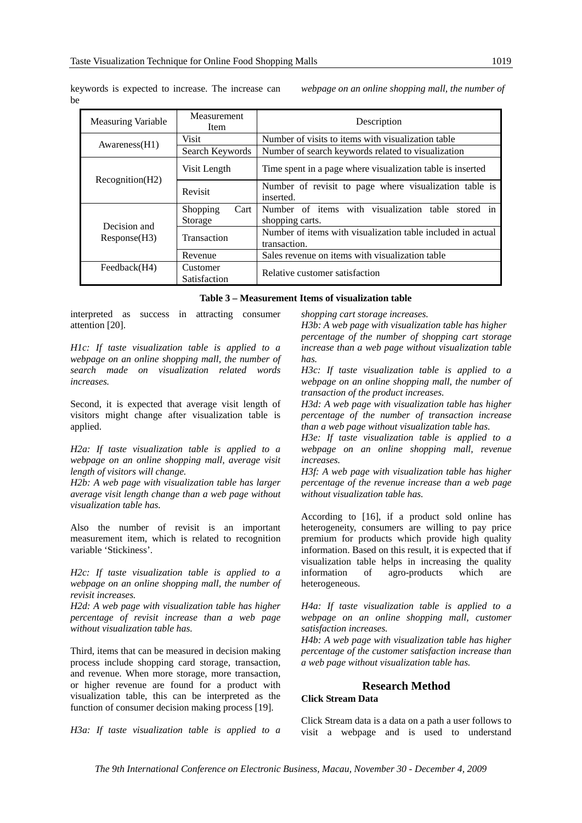| <b>Measuring Variable</b>    | Measurement<br>Item         | Description                                                                 |  |
|------------------------------|-----------------------------|-----------------------------------------------------------------------------|--|
|                              | <b>Visit</b>                | Number of visits to items with visualization table                          |  |
| Awareness(H1)                | Search Keywords             | Number of search keywords related to visualization                          |  |
| Recognition(H2)              | Visit Length                | Time spent in a page where visualization table is inserted                  |  |
|                              | Revisit                     | Number of revisit to page where visualization table is<br>inserted.         |  |
| Decision and<br>Response(H3) | Cart<br>Shopping<br>Storage | Number of items with visualization table stored in<br>shopping carts.       |  |
|                              | Transaction                 | Number of items with visualization table included in actual<br>transaction. |  |
|                              | Revenue                     | Sales revenue on items with visualization table                             |  |
| Feedback(H4)                 | Customer<br>Satisfaction    | Relative customer satisfaction                                              |  |

keywords is expected to increase. The increase can be

*webpage on an online shopping mall, the number of* 

**Table 3 – Measurement Items of visualization table**

interpreted as success in attracting consumer attention [20].

*H1c: If taste visualization table is applied to a webpage on an online shopping mall, the number of search made on visualization related words increases.* 

Second, it is expected that average visit length of visitors might change after visualization table is applied.

*H2a: If taste visualization table is applied to a webpage on an online shopping mall, average visit length of visitors will change.* 

*H2b: A web page with visualization table has larger average visit length change than a web page without visualization table has.* 

Also the number of revisit is an important measurement item, which is related to recognition variable 'Stickiness'.

*H2c: If taste visualization table is applied to a webpage on an online shopping mall, the number of revisit increases.* 

*H2d: A web page with visualization table has higher percentage of revisit increase than a web page without visualization table has.* 

Third, items that can be measured in decision making process include shopping card storage, transaction, and revenue. When more storage, more transaction, or higher revenue are found for a product with visualization table, this can be interpreted as the function of consumer decision making process [19].

*H3a: If taste visualization table is applied to a* 

*shopping cart storage increases.* 

*H3b: A web page with visualization table has higher percentage of the number of shopping cart storage increase than a web page without visualization table has.* 

*H3c: If taste visualization table is applied to a webpage on an online shopping mall, the number of transaction of the product increases.* 

*H3d: A web page with visualization table has higher percentage of the number of transaction increase than a web page without visualization table has.* 

*H3e: If taste visualization table is applied to a webpage on an online shopping mall, revenue increases.* 

*H3f: A web page with visualization table has higher percentage of the revenue increase than a web page without visualization table has.* 

According to [16], if a product sold online has heterogeneity, consumers are willing to pay price premium for products which provide high quality information. Based on this result, it is expected that if visualization table helps in increasing the quality information of agro-products which are heterogeneous.

*H4a: If taste visualization table is applied to a webpage on an online shopping mall, customer satisfaction increases.* 

*H4b: A web page with visualization table has higher percentage of the customer satisfaction increase than a web page without visualization table has.* 

## **Research Method**

**Click Stream Data** 

Click Stream data is a data on a path a user follows to visit a webpage and is used to understand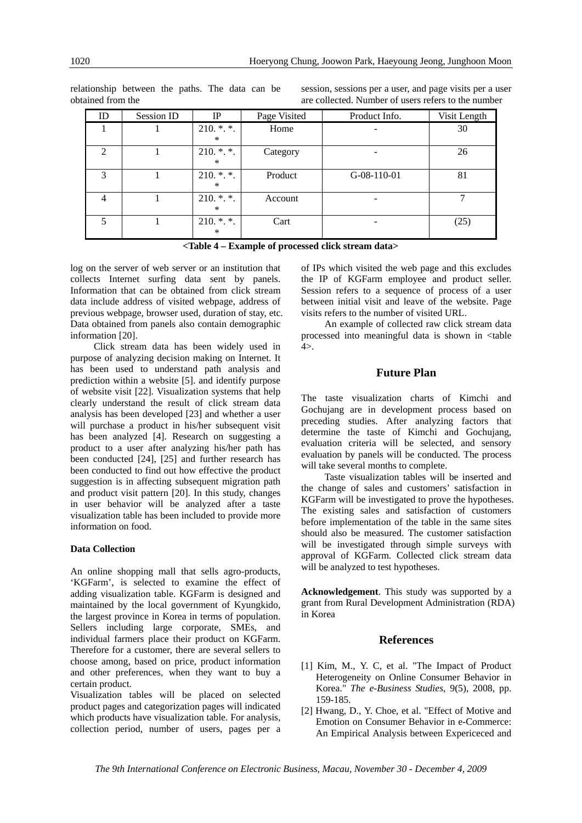| ID | Session ID | IP                    | Page Visited | Product Info. | Visit Length |
|----|------------|-----------------------|--------------|---------------|--------------|
|    |            | $210.$ *.*.<br>∗      | Home         |               | 30           |
| 2  |            | $210.$ *.*.<br>∗      | Category     |               | 26           |
| 3  |            | $210.$ *.*.<br>$\ast$ | Product      | $G-08-110-01$ | 81           |
| 4  |            | $210.$ *.*.<br>$\ast$ | Account      |               |              |
|    |            | $210.$ *.*.<br>∗      | Cart         |               | (25)         |

relationship between the paths. The data can be obtained from the

session, sessions per a user, and page visits per a user are collected. Number of users refers to the number

**<Table 4 – Example of processed click stream data>** 

log on the server of web server or an institution that collects Internet surfing data sent by panels. Information that can be obtained from click stream data include address of visited webpage, address of previous webpage, browser used, duration of stay, etc. Data obtained from panels also contain demographic information [20].

Click stream data has been widely used in purpose of analyzing decision making on Internet. It has been used to understand path analysis and prediction within a website [5]. and identify purpose of website visit [22]. Visualization systems that help clearly understand the result of click stream data analysis has been developed [23] and whether a user will purchase a product in his/her subsequent visit has been analyzed [4]. Research on suggesting a product to a user after analyzing his/her path has been conducted [24], [25] and further research has been conducted to find out how effective the product suggestion is in affecting subsequent migration path and product visit pattern [20]. In this study, changes in user behavior will be analyzed after a taste visualization table has been included to provide more information on food.

#### **Data Collection**

An online shopping mall that sells agro-products, 'KGFarm', is selected to examine the effect of adding visualization table. KGFarm is designed and maintained by the local government of Kyungkido, the largest province in Korea in terms of population. Sellers including large corporate, SMEs, and individual farmers place their product on KGFarm. Therefore for a customer, there are several sellers to choose among, based on price, product information and other preferences, when they want to buy a certain product.

Visualization tables will be placed on selected product pages and categorization pages will indicated which products have visualization table. For analysis, collection period, number of users, pages per a

of IPs which visited the web page and this excludes the IP of KGFarm employee and product seller. Session refers to a sequence of process of a user between initial visit and leave of the website. Page visits refers to the number of visited URL.

An example of collected raw click stream data processed into meaningful data is shown in <table  $4$ 

## **Future Plan**

The taste visualization charts of Kimchi and Gochujang are in development process based on preceding studies. After analyzing factors that determine the taste of Kimchi and Gochujang, evaluation criteria will be selected, and sensory evaluation by panels will be conducted. The process will take several months to complete.

Taste visualization tables will be inserted and the change of sales and customers' satisfaction in KGFarm will be investigated to prove the hypotheses. The existing sales and satisfaction of customers before implementation of the table in the same sites should also be measured. The customer satisfaction will be investigated through simple surveys with approval of KGFarm. Collected click stream data will be analyzed to test hypotheses.

**Acknowledgement**. This study was supported by a grant from Rural Development Administration (RDA) in Korea

#### **References**

- [1] Kim, M., Y. C, et al. "The Impact of Product Heterogeneity on Online Consumer Behavior in Korea." *The e-Business Studies*, 9(5), 2008, pp. 159-185.
- [2] Hwang, D., Y. Choe, et al. "Effect of Motive and Emotion on Consumer Behavior in e-Commerce: An Empirical Analysis between Expericeced and